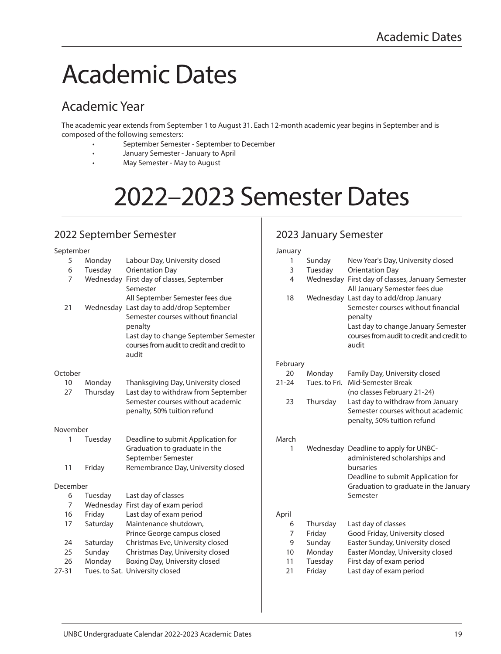## Academic Dates

## Academic Year

The academic year extends from September 1 to August 31. Each 12-month academic year begins in September and is composed of the following semesters:

- September Semester September to December
- January Semester January to April
- May Semester May to August

# 2022–2023 Semester Dates

## 2022 September Semester

#### September 5 Monday Labour Day, University closed 6 Tuesday Orientation Day 7 Wednesday First day of classes, September Semester All September Semester fees due 21 Wednesday Last day to add/drop September Semester courses without financial penalty Last day to change September Semester courses from audit to credit and credit to audit **October** 10 Monday Thanksgiving Day, University closed 27 Thursday Last day to withdraw from September Semester courses without academic penalty, 50% tuition refund November 1 Tuesday Deadline to submit Application for Graduation to graduate in the September Semester 11 Friday Remembrance Day, University closed December 6 Tuesday Last day of classes 7 Wednesday First day of exam period 16 Friday Last day of exam period 17 Saturday Maintenance shutdown, Prince George campus closed 24 Saturday Christmas Eve, University closed 25 Sunday Christmas Day, University closed 26 Monday Boxing Day, University closed 27-31 Tues. to Sat. University closed January February March April

## 2023 January Semester

| January         |               |                                                                        |  |  |  |
|-----------------|---------------|------------------------------------------------------------------------|--|--|--|
| 1               | Sunday        | New Year's Day, University closed                                      |  |  |  |
| 3               | Tuesday       | <b>Orientation Day</b>                                                 |  |  |  |
| 4               |               | Wednesday First day of classes, January Semester                       |  |  |  |
|                 |               | All January Semester fees due                                          |  |  |  |
| 18              |               | Wednesday Last day to add/drop January                                 |  |  |  |
|                 |               | Semester courses without financial                                     |  |  |  |
|                 |               | penalty                                                                |  |  |  |
|                 |               | Last day to change January Semester                                    |  |  |  |
|                 |               | courses from audit to credit and credit to                             |  |  |  |
|                 |               | audit                                                                  |  |  |  |
|                 |               |                                                                        |  |  |  |
| February<br>20  | Monday        | Family Day, University closed                                          |  |  |  |
| $21-24$         | Tues, to Fri. | Mid-Semester Break                                                     |  |  |  |
|                 |               | (no classes February 21-24)                                            |  |  |  |
|                 |               |                                                                        |  |  |  |
| 23              | Thursday      | Last day to withdraw from January<br>Semester courses without academic |  |  |  |
|                 |               |                                                                        |  |  |  |
|                 |               | penalty, 50% tuition refund                                            |  |  |  |
| March           |               |                                                                        |  |  |  |
| 1               |               | Wednesday Deadline to apply for UNBC-                                  |  |  |  |
|                 |               | administered scholarships and                                          |  |  |  |
|                 |               | bursaries                                                              |  |  |  |
|                 |               | Deadline to submit Application for                                     |  |  |  |
|                 |               | Graduation to graduate in the January                                  |  |  |  |
|                 |               | Semester                                                               |  |  |  |
|                 |               |                                                                        |  |  |  |
| April           |               |                                                                        |  |  |  |
| 6               | Thursday      | Last day of classes                                                    |  |  |  |
| 7               | Friday        | Good Friday, University closed                                         |  |  |  |
| 9               | Sunday        | Easter Sunday, University closed                                       |  |  |  |
| 10 <sup>1</sup> | Monday        | Easter Monday, University closed                                       |  |  |  |
| 11              | Tuesday       | First day of exam period                                               |  |  |  |
| 21              | Friday        | Last day of exam period                                                |  |  |  |
|                 |               |                                                                        |  |  |  |
|                 |               |                                                                        |  |  |  |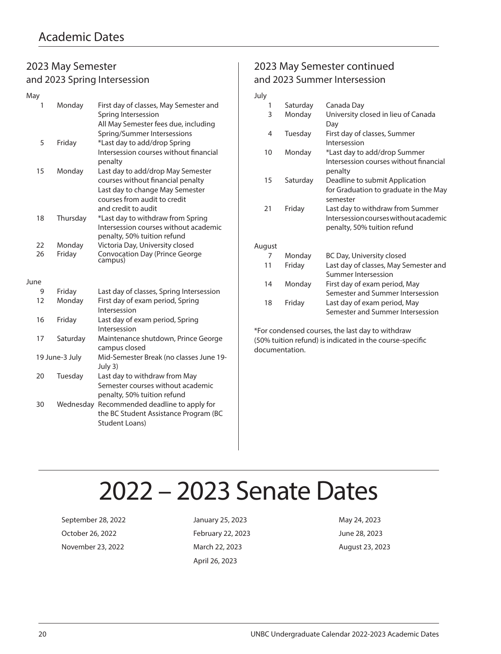## 2023 May Semester and 2023 Spring Intersession

| May  |                |           |                                                                                                                                                                  |
|------|----------------|-----------|------------------------------------------------------------------------------------------------------------------------------------------------------------------|
|      | 1              | Monday    | First day of classes, May Semester and<br>Spring Intersession<br>All May Semester fees due, including<br>Spring/Summer Intersessions                             |
|      | 5              | Friday    | *Last day to add/drop Spring<br>Intersession courses without financial<br>penalty                                                                                |
|      | 15             | Monday    | Last day to add/drop May Semester<br>courses without financial penalty<br>Last day to change May Semester<br>courses from audit to credit<br>and credit to audit |
|      | 18             | Thursday  | *Last day to withdraw from Spring<br>Intersession courses without academic<br>penalty, 50% tuition refund                                                        |
|      | 22             | Monday    | Victoria Day, University closed                                                                                                                                  |
|      | 26             | Friday    | Convocation Day (Prince George<br>campus)                                                                                                                        |
| June |                |           |                                                                                                                                                                  |
|      | 9              | Friday    | Last day of classes, Spring Intersession                                                                                                                         |
|      | 12             | Monday    | First day of exam period, Spring<br>Intersession                                                                                                                 |
|      | 16             | Friday    | Last day of exam period, Spring<br>Intersession                                                                                                                  |
|      | 17             | Saturday  | Maintenance shutdown, Prince George<br>campus closed                                                                                                             |
|      | 19 June-3 July |           | Mid-Semester Break (no classes June 19-<br>July 3)                                                                                                               |
|      | 20             | Tuesday   | Last day to withdraw from May<br>Semester courses without academic<br>penalty, 50% tuition refund                                                                |
|      | 30             | Wednesday | Recommended deadline to apply for<br>the BC Student Assistance Program (BC<br>Student Loans)                                                                     |

## 2023 May Semester continued and 2023 Summer Intersession

| July   |          |                                                                                                          |
|--------|----------|----------------------------------------------------------------------------------------------------------|
| 1      | Saturday | Canada Day                                                                                               |
| 3      | Monday   | University closed in lieu of Canada<br>Day                                                               |
| 4      | Tuesday  | First day of classes, Summer<br>Intersession                                                             |
| 10     | Monday   | *Last day to add/drop Summer<br>Intersession courses without financial<br>penalty                        |
| 15     | Saturday | Deadline to submit Application<br>for Graduation to graduate in the May<br>semester                      |
| 21     | Friday   | Last day to withdraw from Summer<br>Intersession courses without academic<br>penalty, 50% tuition refund |
| August |          |                                                                                                          |
| 7      | Monday   | BC Day, University closed                                                                                |
| 11     | Friday   | Last day of classes, May Semester and<br>Summer Intersession                                             |
| 14     | Monday   | First day of exam period, May<br>Semester and Summer Intersession                                        |
| 18     | Friday   | Last day of exam period, May<br>Semester and Summer Intersession                                         |

\*For condensed courses, the last day to withdraw (50% tuition refund) is indicated in the course-specific documentation.

## 2022 – 2023 Senate Dates

September 28, 2022 January 25, 2023 May 24, 2023 October 26, 2022 February 22, 2023 June 28, 2023 November 23, 2022 March 22, 2023 August 23, 2023

April 26, 2023